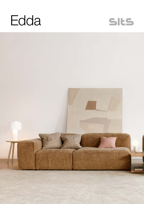



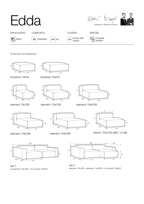

All elements are freestanding.





footstool 114x74 footstool 144x74







element 114x168







element 144x168



bench 144x109 right / or left





set 1 2x element 114x109 + 2x armrest 109x33

set 2 element 114x109 + element 114x168 + 2x armrest 109x33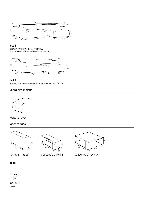

#### set 3

element 144x109 + element 144x168 + 2x armrest 109x33 + coffee table 104x31





element 144x109 + element 144x168 + 2x armrest 109x33

## extra dimensions



depth of seat

### accessories



armrest 109x33



coffee table 104x31



coffee table 104x104

legs



no. 173 wood